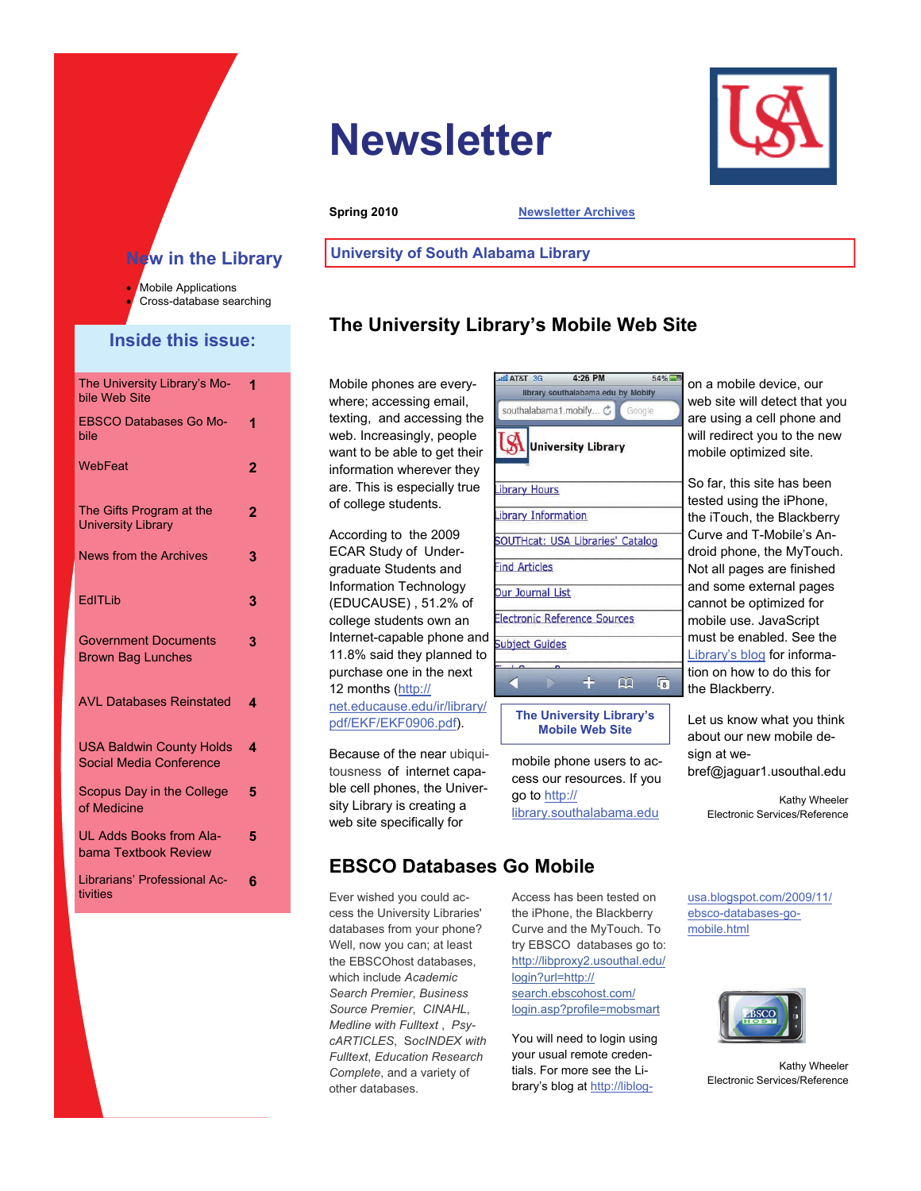# **Newsletter**



**Spring 2010 [Newsletter Archives](http://www.southalabama.edu/univlib/news/news34/index.html)** 

#### **New in the Library**

Mobile Applications Cross-database searching

#### **Inside this issue:**

| The University Library's Mo-<br>bile Web Site              | 1              |
|------------------------------------------------------------|----------------|
| <b>EBSCO Databases Go Mo-</b><br>bile                      | 1              |
| WebFeat                                                    | $\overline{2}$ |
| The Gifts Program at the<br><b>University Library</b>      | $\overline{2}$ |
| <b>News from the Archives</b>                              | 3              |
| EdITLib                                                    | 3              |
| <b>Government Documents</b><br><b>Brown Bag Lunches</b>    | 3              |
| <b>AVL Databases Reinstated</b>                            | 4              |
| <b>USA Baldwin County Holds</b><br>Social Media Conference | 4              |
| Scopus Day in the College<br>of Medicine                   | 5              |
| UL Adds Books from Ala-<br>bama Textbook Review            | 5              |
| Librarians' Professional Ac-<br>tivities                   | 6              |

# **University of South Alabama Library**

## **The University Library's Mobile Web Site**

Mobile phones are everywhere; accessing email, texting, and accessing the web. Increasingly, people want to be able to get their information wherever they are. This is especially true of college students.

According to the 2009 ECAR Study of Undergraduate Students and Information Technology (EDUCAUSE) , 51.2% of college students own an Internet-capable phone and 11.8% said they planned to purchase one in the next 12 months ([http://](http://net.educause.edu/ir/library/pdf/EKF/EKF0906.pdf) [net.educause.edu/ir/library/](http://net.educause.edu/ir/library/pdf/EKF/EKF0906.pdf) [pdf/EKF/EKF0906.pdf\)](http://net.educause.edu/ir/library/pdf/EKF/EKF0906.pdf).

Because of the near ubiquitousness of internet capable cell phones, the University Library is creating a web site specifically for

|   | $4:26$ PM<br><b>all AT&amp;T</b> 3G     | 54%        |
|---|-----------------------------------------|------------|
|   | library.southalabama.edu by Mobify      |            |
|   | southalabama1.mobify C Google           |            |
|   | <b>University Library</b>               |            |
|   | <b>ibrary Hours</b>                     |            |
|   | ibrary Information                      |            |
|   | <b>SOUTHcat: USA Libraries' Catalog</b> |            |
|   | ind Articles                            |            |
|   | <b>Our Journal List</b>                 |            |
|   | Electronic Reference Sources            |            |
| ł | <b>Subject Guides</b>                   |            |
|   |                                         |            |
|   | m                                       | $\sqrt{8}$ |
|   | <b>The University Library's</b>         |            |
|   |                                         |            |

**Mobile Web Site**  mobile phone users to ac-

cess our resources. If you go to [http://](http://library.southalabama.edu) [library.southalabama.edu](http://library.southalabama.edu)

on a mobile device, our web site will detect that you are using a cell phone and will redirect you to the new mobile optimized site.

So far, this site has been tested using the iPhone, the iTouch, the Blackberry Curve and T-Mobile's Android phone, the MyTouch. Not all pages are finished and some external pages cannot be optimized for mobile use. JavaScript must be enabled. See the [Library's blog](http://liblog-usa.blogspot.com/2009/11/ebsco-databases-go-mobile.html) for information on how to do this for the Blackberry.

Let us know what you think about our new mobile design at webref@jaguar1.usouthal.edu

> Kathy Wheeler Electronic Services/Reference

### **EBSCO Databases Go Mobile**

Ever wished you could access the University Libraries' databases from your phone? Well, now you can; at least the EBSCOhost databases, which include *Academic Search Premier*, *Business Source Premier*, *CINAHL*, *Medline with Fulltext* , *PsycARTICLES*, S*ocINDEX with Fulltext*, *Education Research Complete*, and a variety of other databases.

Access has been tested on the iPhone, the Blackberry Curve and the MyTouch. To try EBSCO databases go to: [http://libproxy2.usouthal.edu/](http://libproxy2.usouthal.edu/login?url=http://search.ebscohost.com/login.asp?profile=mobsmart) [login?url=http://](http://libproxy2.usouthal.edu/login?url=http://search.ebscohost.com/login.asp?profile=mobsmart) [search.ebscohost.com/](http://libproxy2.usouthal.edu/login?url=http://search.ebscohost.com/login.asp?profile=mobsmart) [login.asp?profile=mobsmart](http://libproxy2.usouthal.edu/login?url=http://search.ebscohost.com/login.asp?profile=mobsmart)

You will need to login using your usual remote credentials. For more see the Library's blog at [http://liblog-](http://liblog-usa.blogspot.com/2009/11/ebsco-databases-go-mobile.html) [usa.blogspot.com/2009/11/](http://liblog-usa.blogspot.com/2009/11/ebsco-databases-go-mobile.html) [ebsco-databases-go](http://liblog-usa.blogspot.com/2009/11/ebsco-databases-go-mobile.html)[mobile.html](http://liblog-usa.blogspot.com/2009/11/ebsco-databases-go-mobile.html)



Kathy Wheeler Electronic Services/Reference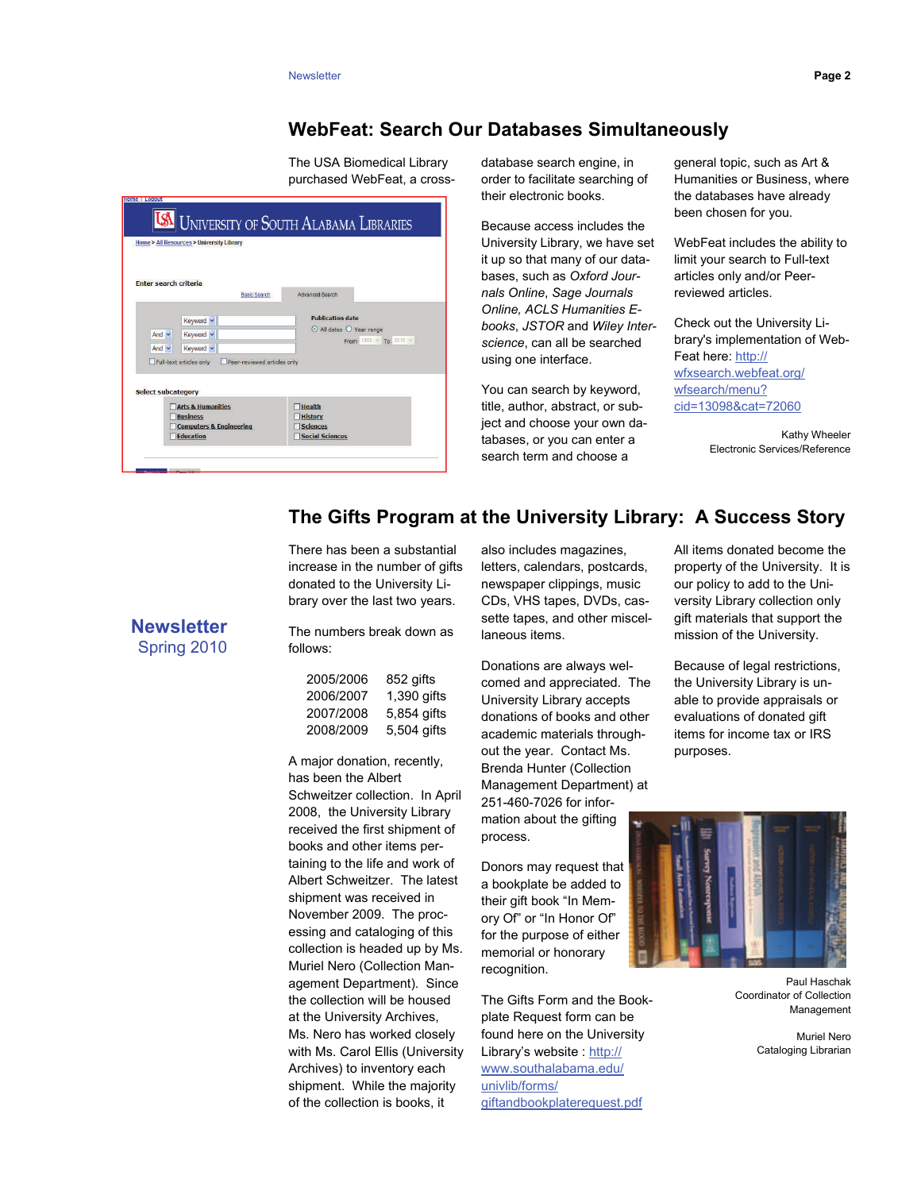#### **WebFeat: Search Our Databases Simultaneously**

The USA Biomedical Library purchased WebFeat, a cross-

|                              | Home > All Resources > University Library                                                          | <b>I UNIVERSITY OF SOUTH ALABAMA LIBRARIES</b>                                |
|------------------------------|----------------------------------------------------------------------------------------------------|-------------------------------------------------------------------------------|
| <b>Enter search criteria</b> | <b>Basic Search</b>                                                                                | <b>Advanced Search</b>                                                        |
| And $\vee$<br>And $\vee$     | Keyword v<br>Keyword v<br>Keyword v                                                                | <b>Publication date</b><br>All dates O Year range<br>From 1900 <b>To</b> 2010 |
| <b>Select subcategory</b>    | Full-text articles only<br>Peer-reviewed articles only                                             |                                                                               |
|                              | <b>Arts &amp; Humanities</b><br><b>Business</b><br><b>Computers &amp; Engineering</b><br>Education | <b>Health</b><br><b>History</b><br><b>Sciences</b><br><b>Social Sciences</b>  |

their electronic books. database search engine, in order to facilitate searching of

Because access includes the University Library, we have set it up so that many of our databases, such as *Oxford Journals Online*, *Sage Journals Online, ACLS Humanities Ebooks*, *JSTOR* and *Wiley Interscience*, can all be searched using one interface.

You can search by keyword, title, author, abstract, or subject and choose your own databases, or you can enter a search term and choose a

 been chosen for you. general topic, such as Art & Humanities or Business, where the databases have already

WebFeat includes the ability to limit your search to Full-text articles only and/or Peerreviewed articles.

Check out the University Library's implementation of Web-Feat here: [http://](http://wfxsearch.webfeat.org/wfsearch/menu?cid=13098&cat=72060) [wfxsearch.webfeat.org/](http://wfxsearch.webfeat.org/wfsearch/menu?cid=13098&cat=72060) [wfsearch/menu?](http://wfxsearch.webfeat.org/wfsearch/menu?cid=13098&cat=72060) [cid=13098&cat=72060](http://wfxsearch.webfeat.org/wfsearch/menu?cid=13098&cat=72060) 

> Kathy Wheeler Electronic Services/Reference

#### **The Gifts Program at the University Library: A Success Story**

There has been a substantial increase in the number of gifts donated to the University Library over the last two years.

**Newsletter**  Spring 2010

The numbers break down as follows:

| 2005/2006 | 852 gitts   |
|-----------|-------------|
| 2006/2007 | 1,390 gifts |
| 2007/2008 | 5,854 gifts |
| 2008/2009 | 5,504 gifts |

 2008, the University Library A major donation, recently, has been the Albert Schweitzer collection. In April received the first shipment of books and other items pertaining to the life and work of Albert Schweitzer. The latest shipment was received in November 2009. The processing and cataloging of this collection is headed up by Ms. Muriel Nero (Collection Management Department). Since the collection will be housed at the University Archives, Ms. Nero has worked closely with Ms. Carol Ellis (University Archives) to inventory each shipment. While the majority of the collection is books, it

also includes magazines, letters, calendars, postcards, newspaper clippings, music CDs, VHS tapes, DVDs, cassette tapes, and other miscellaneous items.

Donations are always welcomed and appreciated. The University Library accepts donations of books and other academic materials throughout the year. Contact Ms. Brenda Hunter (Collection Management Department) at 251-460-7026 for information about the gifting process.

Donors may request that a bookplate be added to their gift book "In Memory Of" or "In Honor Of" for the purpose of either memorial or honorary recognition.

The Gifts Form and the Bookplate Request form can be found here on the University Library's website : [http://](http://www.southalabama.edu/univlib/forms/giftandbookplaterequest.pdf) [www.southalabama.edu/](http://www.southalabama.edu/univlib/forms/giftandbookplaterequest.pdf) [univlib/forms/](http://www.southalabama.edu/univlib/forms/giftandbookplaterequest.pdf) [giftandbookplaterequest.pdf](http://www.southalabama.edu/univlib/forms/giftandbookplaterequest.pdf)

All items donated become the property of the University. It is our policy to add to the University Library collection only gift materials that support the mission of the University.

Because of legal restrictions, the University Library is unable to provide appraisals or evaluations of donated gift items for income tax or IRS purposes.



Paul Haschak Coordinator of Collection Management

Muriel Nero Cataloging Librarian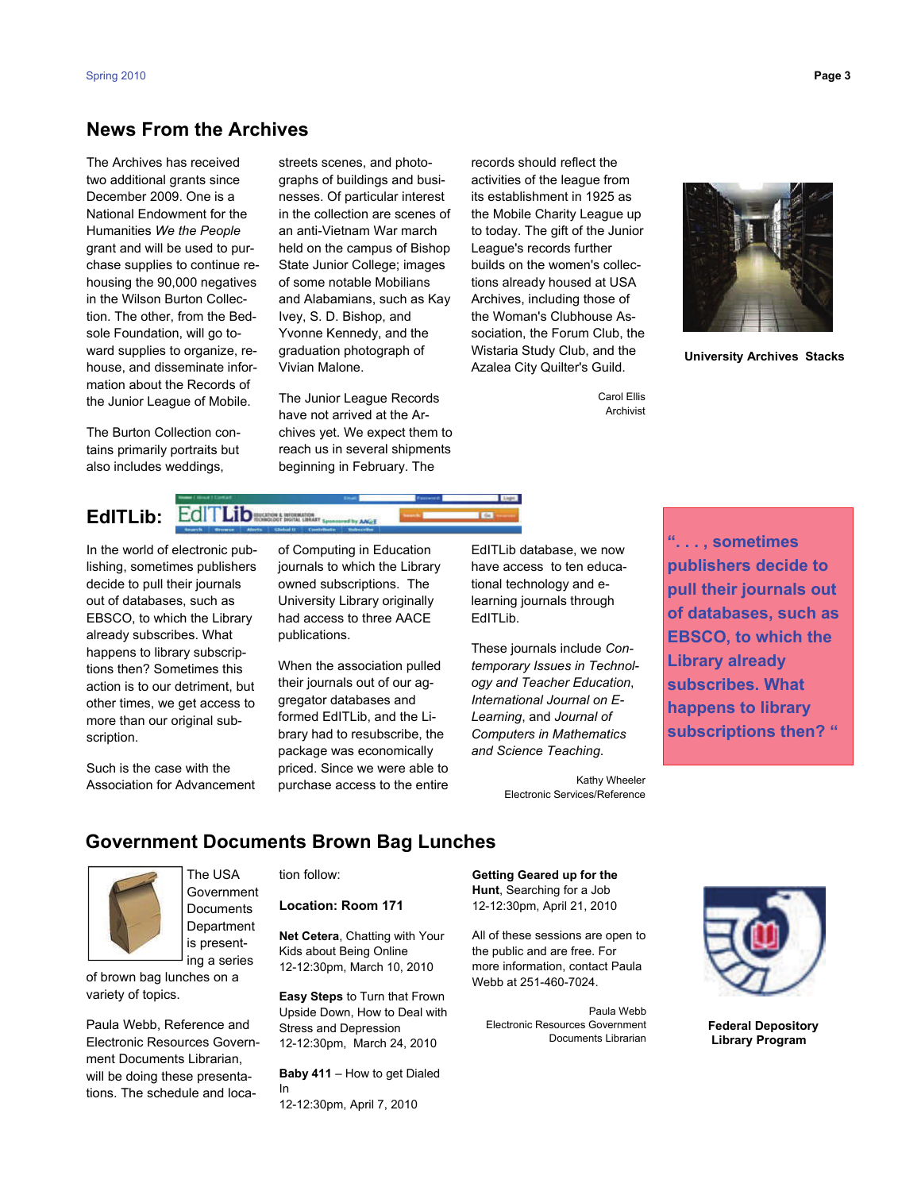#### **News From the Archives**

The Archives has received two additional grants since December 2009. One is a National Endowment for the Humanities *We the People*  grant and will be used to purchase supplies to continue rehousing the 90,000 negatives in the Wilson Burton Collection. The other, from the Bedsole Foundation, will go toward supplies to organize, rehouse, and disseminate information about the Records of the Junior League of Mobile.

The Burton Collection contains primarily portraits but also includes weddings,

Vivian Malone. streets scenes, and photographs of buildings and businesses. Of particular interest in the collection are scenes of an anti-Vietnam War march held on the campus of Bishop State Junior College; images of some notable Mobilians and Alabamians, such as Kay Ivey, S. D. Bishop, and Yvonne Kennedy, and the graduation photograph of

The Junior League Records have not arrived at the Archives yet. We expect them to reach us in several shipments beginning in February. The

records should reflect the activities of the league from its establishment in 1925 as the Mobile Charity League up to today. The gift of the Junior League's records further builds on the women's collections already housed at USA Archives, including those of the Woman's Clubhouse Association, the Forum Club, the Wistaria Study Club, and the Azalea City Quilter's Guild.



 **University Archives Stacks** 

## **EdITLib:**

In the world of electronic publishing, sometimes publishers decide to pull their journals out of databases, such as EBSCO, to which the Library already subscribes. What happens to library subscriptions then? Sometimes this action is to our detriment, but other times, we get access to more than our original subscription.

Such is the case with the Association for Advancement

of Computing in Education journals to which the Library owned subscriptions. The University Library originally had access to three AACE publications.

When the association pulled their journals out of our aggregator databases and formed EdITLib, and the Library had to resubscribe, the package was economically priced. Since we were able to purchase access to the entire EdITLib database, we now have access to ten educational technology and elearning journals through EdITLib.

These journals include *Contemporary Issues in Technology and Teacher Education*, *International Journal on E-Learning*, and *Journal of Computers in Mathematics and Science Teaching*.

> Kathy Wheeler Electronic Services/Reference

**". . . , sometimes publishers decide to pull their journals out of databases, such as EBSCO, to which the Library already subscribes. What happens to library subscriptions then? "** 

### **Government Documents Brown Bag Lunches**



The USA Government **Documents Department** is presenting a series

of brown bag lunches on a variety of topics.

Paula Webb, Reference and Electronic Resources Government Documents Librarian, will be doing these presentations. The schedule and location follow:

**Location: Room 171** 

**Net Cetera**, Chatting with Your Kids about Being Online 12-12:30pm, March 10, 2010

**Easy Steps** to Turn that Frown Upside Down, How to Deal with Stress and Depression 12-12:30pm, March 24, 2010

**Baby 411** – How to get Dialed In 12-12:30pm, April 7, 2010

 **Getting Geared up for the Hunt**, Searching for a Job 12-12:30pm, April 21, 2010

All of these sessions are open to the public and are free. For more information, contact Paula Webb at 251-460-7024.

Paula Webb Electronic Resources Government Documents Librarian



 **Federal Depository Library Program**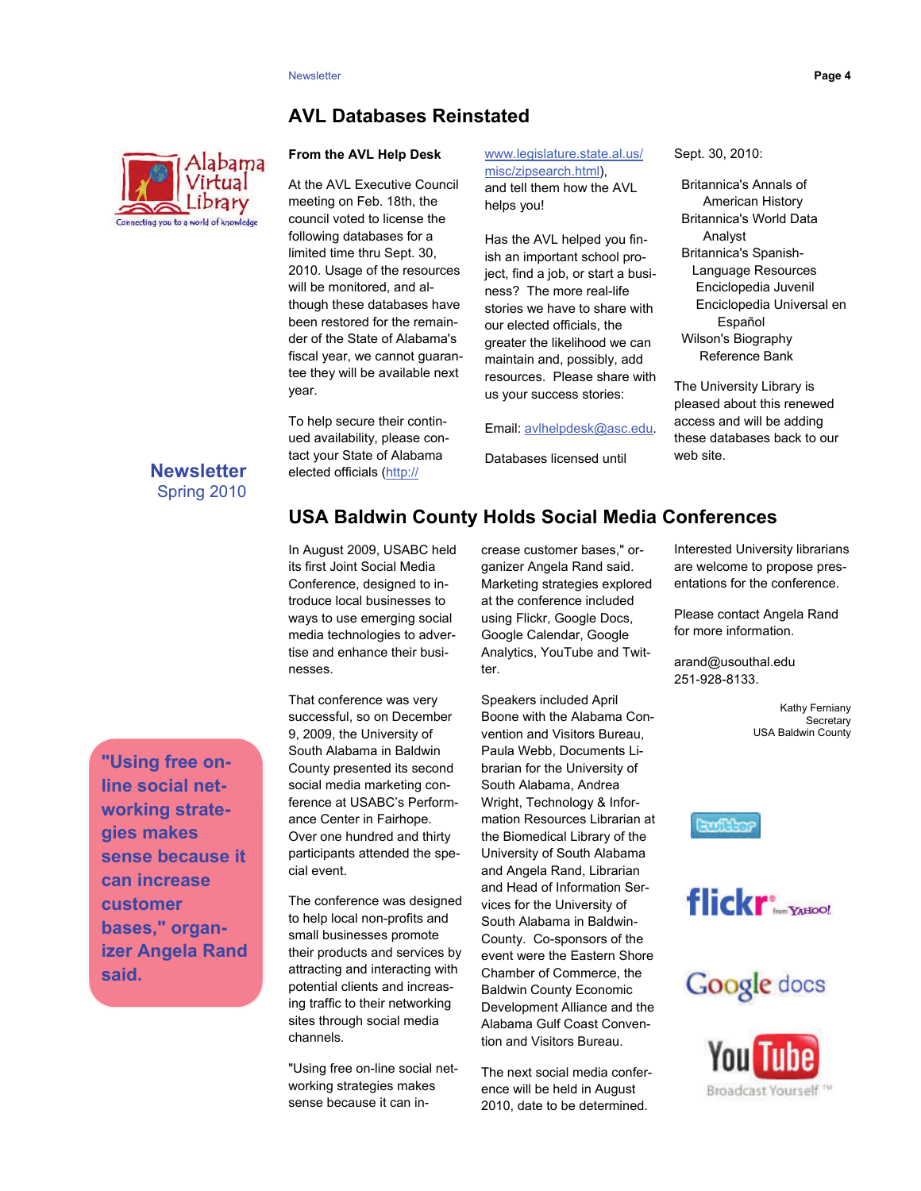#### **AVL Databases Reinstated**



#### **From the AVL Help Desk**

At the AVL Executive Council meeting on Feb. 18th, the council voted to license the following databases for a limited time thru Sept. 30, 2010. Usage of the resources will be monitored, and although these databases have been restored for the remainder of the State of Alabama's fiscal year, we cannot guarantee they will be available next year.

To help secure their continued availability, please contact your State of Alabama elected officials ([http://](http://www.legislature.state.al.us/misc/zipsearch.html)

[www.legislature.state.al.us/](http://www.legislature.state.al.us/misc/zipsearch.html)  [misc/zipsearch.html\)](http://www.legislature.state.al.us/misc/zipsearch.html), and tell them how the AVL helps you!

Has the AVL helped you finish an important school project, find a job, or start a business? The more real-life stories we have to share with our elected officials, the greater the likelihood we can maintain and, possibly, add resources. Please share with us your success stories:

Email: [avlhelpdesk@asc.edu](mailto:avlhelpdesk@asc.edu).

Databases licensed until

Sept. 30, 2010:

 Wilson's Biography Britannica's Annals of American History Britannica's World Data Analyst Britannica's Spanish- Language Resources Enciclopedia Juvenil Enciclopedia Universal en Español Reference Bank

The University Library is pleased about this renewed access and will be adding these databases back to our web site.

#### **Newsletter**  Spring 2010

**"Using free online social networking strategies makes sense because it can increase customer bases," organizer Angela Rand said.** 

#### **USA Baldwin County Holds Social Media Conferences**

In August 2009, USABC held its first Joint Social Media Conference, designed to introduce local businesses to ways to use emerging social media technologies to advertise and enhance their businesses.

That conference was very successful, so on December 9, 2009, the University of South Alabama in Baldwin County presented its second social media marketing conference at USABC's Performance Center in Fairhope. Over one hundred and thirty participants attended the special event.

The conference was designed to help local non-profits and small businesses promote their products and services by attracting and interacting with potential clients and increasing traffic to their networking sites through social media channels.

"Using free on-line social networking strategies makes sense because it can in-

crease customer bases," organizer Angela Rand said. Marketing strategies explored at the conference included using Flickr, Google Docs, Google Calendar, Google Analytics, YouTube and Twitter.

 Development Alliance and the Speakers included April Boone with the Alabama Convention and Visitors Bureau, Paula Webb, Documents Librarian for the University of South Alabama, Andrea Wright, Technology & Information Resources Librarian at the Biomedical Library of the University of South Alabama and Angela Rand, Librarian and Head of Information Services for the University of South Alabama in Baldwin-County. Co-sponsors of the event were the Eastern Shore Chamber of Commerce, the Baldwin County Economic Alabama Gulf Coast Convention and Visitors Bureau.

The next social media conference will be held in August 2010, date to be determined.

Interested University librarians are welcome to propose presentations for the conference.

Please contact Angela Rand for more information.

arand@usouthal.edu 251-928-8133.

> Kathy Ferniany **Secretary** USA Baldwin County



flickr<sup>®</sup>



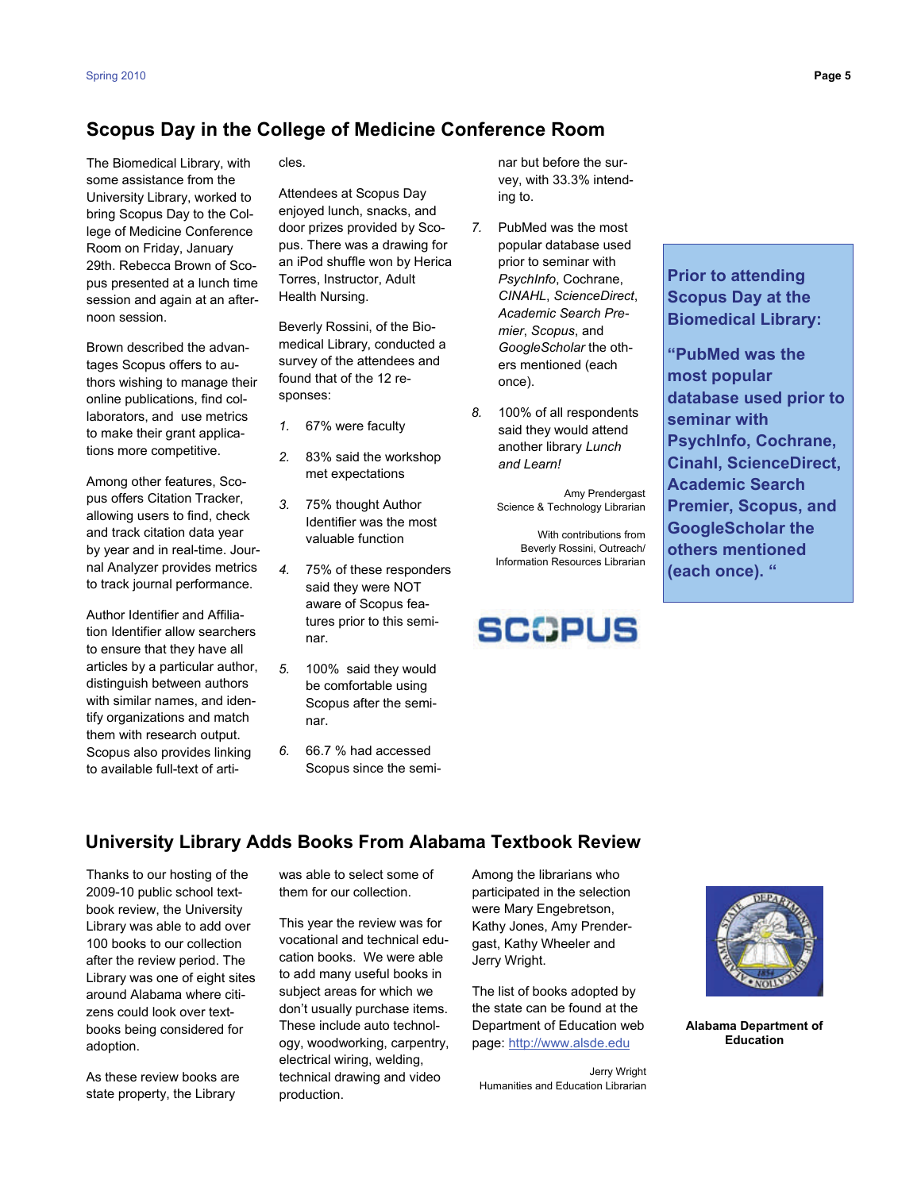#### **Scopus Day in the College of Medicine Conference Room**

The Biomedical Library, with some assistance from the University Library, worked to bring Scopus Day to the College of Medicine Conference Room on Friday, January 29th. Rebecca Brown of Scopus presented at a lunch time session and again at an afternoon session.

Brown described the advantages Scopus offers to authors wishing to manage their online publications, find collaborators, and use metrics to make their grant applications more competitive.

Among other features, Scopus offers Citation Tracker, allowing users to find, check and track citation data year by year and in real-time. Journal Analyzer provides metrics to track journal performance.

Author Identifier and Affiliation Identifier allow searchers to ensure that they have all articles by a particular author, distinguish between authors with similar names, and identify organizations and match them with research output. Scopus also provides linking to available full-text of arti-

cles.

Attendees at Scopus Day enjoyed lunch, snacks, and door prizes provided by Scopus. There was a drawing for an iPod shuffle won by Herica Torres, Instructor, Adult Health Nursing.

Beverly Rossini, of the Biomedical Library, conducted a survey of the attendees and found that of the 12 responses:

- *1.* 67% were faculty
- *2.* 83% said the workshop met expectations
- *3.* 75% thought Author Identifier was the most valuable function
- *4.* 75% of these responders said they were NOT aware of Scopus features prior to this seminar.
- *5.* 100% said they would be comfortable using Scopus after the seminar.
- *6.* 66.7 % had accessed Scopus since the semi-

nar but before the survey, with 33.3% intending to.

- *7.* PubMed was the most popular database used prior to seminar with *PsychInfo*, Cochrane, *CINAHL*, *ScienceDirect*, *Academic Search Premier*, *Scopus*, and *GoogleScholar* the others mentioned (each once).
- *8.* 100% of all respondents said they would attend another library *Lunch and Learn!*

Amy Prendergast Science & Technology Librarian

With contributions from Beverly Rossini, Outreach/ Information Resources Librarian

# **SCOPUS**

# **Prior to attending Scopus Day at the**

 **Biomedical Library: "PubMed was the most popular database used prior to seminar with PsychInfo, Cochrane, Cinahl, ScienceDirect, Academic Search Premier, Scopus, and GoogleScholar the others mentioned (each once). "** 

#### **University Library Adds Books From Alabama Textbook Review**

Thanks to our hosting of the 2009-10 public school textbook review, the University Library was able to add over 100 books to our collection after the review period. The Library was one of eight sites around Alabama where citizens could look over textbooks being considered for adoption.

As these review books are state property, the Library

was able to select some of them for our collection.

This year the review was for vocational and technical education books. We were able to add many useful books in subject areas for which we don't usually purchase items. These include auto technology, woodworking, carpentry, electrical wiring, welding, technical drawing and video production.

Among the librarians who participated in the selection were Mary Engebretson, Kathy Jones, Amy Prendergast, Kathy Wheeler and Jerry Wright.

The list of books adopted by the state can be found at the Department of Education web page:<http://www.alsde.edu>

Jerry Wright Humanities and Education Librarian



**Alabama Department of Education**